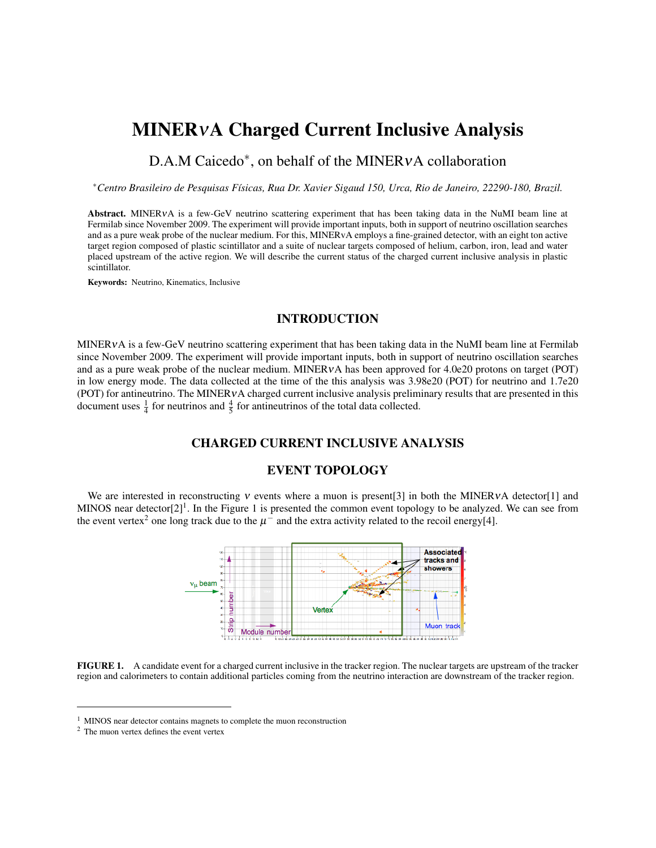## MINERνA Charged Current Inclusive Analysis

# D.A.M Caicedo<sup>\*</sup>, on behalf of the MINERvA collaboration

<sup>∗</sup>*Centro Brasileiro de Pesquisas Físicas, Rua Dr. Xavier Sigaud 150, Urca, Rio de Janeiro, 22290-180, Brazil.*

Abstract. MINERVA is a few-GeV neutrino scattering experiment that has been taking data in the NuMI beam line at Fermilab since November 2009. The experiment will provide important inputs, both in support of neutrino oscillation searches and as a pure weak probe of the nuclear medium. For this, MINERvA employs a fine-grained detector, with an eight ton active target region composed of plastic scintillator and a suite of nuclear targets composed of helium, carbon, iron, lead and water placed upstream of the active region. We will describe the current status of the charged current inclusive analysis in plastic scintillator.

Keywords: Neutrino, Kinematics, Inclusive

#### INTRODUCTION

MINERνA is a few-GeV neutrino scattering experiment that has been taking data in the NuMI beam line at Fermilab since November 2009. The experiment will provide important inputs, both in support of neutrino oscillation searches and as a pure weak probe of the nuclear medium. MINERνA has been approved for 4.0e20 protons on target (POT) in low energy mode. The data collected at the time of the this analysis was 3.98e20 (POT) for neutrino and 1.7e20 (POT) for antineutrino. The MINERνA charged current inclusive analysis preliminary results that are presented in this document uses  $\frac{1}{4}$  for neutrinos and  $\frac{4}{5}$  for antineutrinos of the total data collected.

#### CHARGED CURRENT INCLUSIVE ANALYSIS

#### EVENT TOPOLOGY

We are interested in reconstructing v events where a muon is present[3] in both the MINERVA detector[1] and MINOS near detector $[2]^1$ . In the Figure 1 is presented the common event topology to be analyzed. We can see from the event vertex<sup>2</sup> one long track due to the  $\mu^-$  and the extra activity related to the recoil energy[4].



FIGURE 1. A candidate event for a charged current inclusive in the tracker region. The nuclear targets are upstream of the tracker region and calorimeters to contain additional particles coming from the neutrino interaction are downstream of the tracker region.

<sup>&</sup>lt;sup>1</sup> MINOS near detector contains magnets to complete the muon reconstruction

<sup>2</sup> The muon vertex defines the event vertex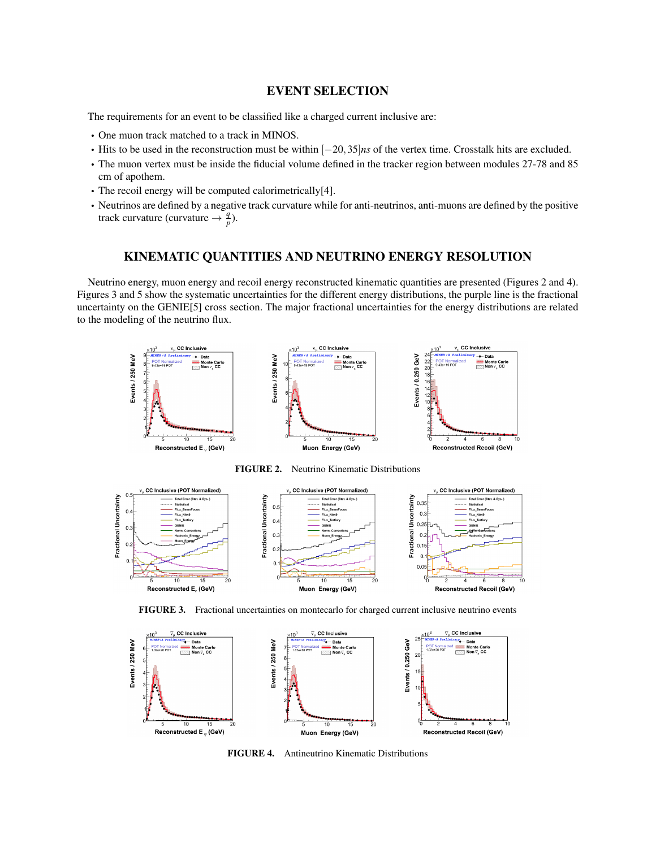#### EVENT SELECTION

The requirements for an event to be classified like a charged current inclusive are:

- One muon track matched to a track in MINOS.
- Hits to be used in the reconstruction must be within [−20,35]*ns* of the vertex time. Crosstalk hits are excluded.
- The muon vertex must be inside the fiducial volume defined in the tracker region between modules 27-78 and 85 cm of apothem.
- The recoil energy will be computed calorimetrically[4].
- Neutrinos are defined by a negative track curvature while for anti-neutrinos, anti-muons are defined by the positive track curvature (curvature  $\rightarrow \frac{q}{p}$ ).

### KINEMATIC QUANTITIES AND NEUTRINO ENERGY RESOLUTION

Neutrino energy, muon energy and recoil energy reconstructed kinematic quantities are presented (Figures 2 and 4). Figures 3 and 5 show the systematic uncertainties for the different energy distributions, the purple line is the fractional uncertainty on the GENIE[5] cross section. The major fractional uncertainties for the energy distributions are related to the modeling of the neutrino flux.











FIGURE 4. Antineutrino Kinematic Distributions